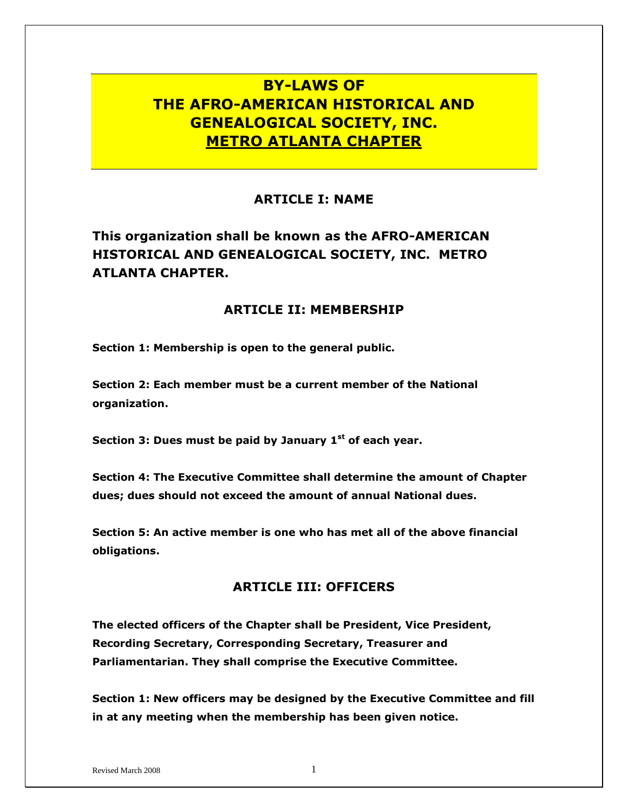# **BY-LAWS OF THE AFRO-AMERICAN HISTORICAL AND GENEALOGICAL SOCIETY, INC. METRO ATLANTA CHAPTER**

# **ARTICLE I: NAME**

**This organization shall be known as the AFRO-AMERICAN HISTORICAL AND GENEALOGICAL SOCIETY, INC. METRO ATLANTA CHAPTER.**

#### **ARTICLE II: MEMBERSHIP**

**Section 1: Membership is open to the general public.**

**Section 2: Each member must be a current member of the National organization.**

**Section 3: Dues must be paid by January 1st of each year.**

**Section 4: The Executive Committee shall determine the amount of Chapter dues; dues should not exceed the amount of annual National dues.**

**Section 5: An active member is one who has met all of the above financial obligations.**

# **ARTICLE III: OFFICERS**

**The elected officers of the Chapter shall be President, Vice President, Recording Secretary, Corresponding Secretary, Treasurer and Parliamentarian. They shall comprise the Executive Committee.**

**Section 1: New officers may be designed by the Executive Committee and fill in at any meeting when the membership has been given notice.**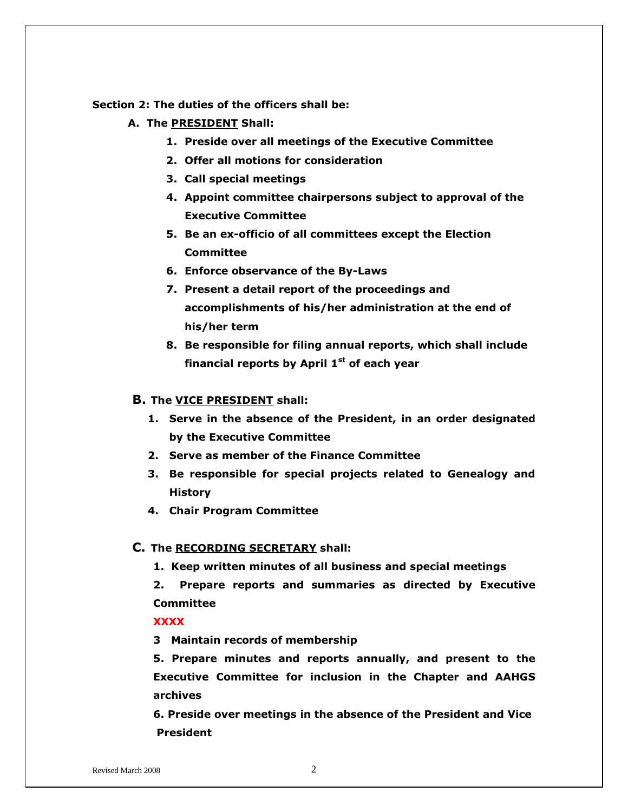#### **Section 2: The duties of the officers shall be:**

- **A. The PRESIDENT Shall:**
	- **1. Preside over all meetings of the Executive Committee**
	- **2. Offer all motions for consideration**
	- **3. Call special meetings**
	- **4. Appoint committee chairpersons subject to approval of the Executive Committee**
	- **5. Be an ex-officio of all committees except the Election Committee**
	- **6. Enforce observance of the By-Laws**
	- **7. Present a detail report of the proceedings and accomplishments of his/her administration at the end of his/her term**
	- **8. Be responsible for filing annual reports, which shall include financial reports by April 1st of each year**

#### **B. The VICE PRESIDENT shall:**

- **1. Serve in the absence of the President, in an order designated by the Executive Committee**
- **2. Serve as member of the Finance Committee**
- **3. Be responsible for special projects related to Genealogy and History**
- **4. Chair Program Committee**

#### **C. The RECORDING SECRETARY shall:**

**1. Keep written minutes of all business and special meetings**

**2. Prepare reports and summaries as directed by Executive Committee**

**XXXX**

**3 Maintain records of membership**

**5. Prepare minutes and reports annually, and present to the Executive Committee for inclusion in the Chapter and AAHGS archives**

**6. Preside over meetings in the absence of the President and Vice President**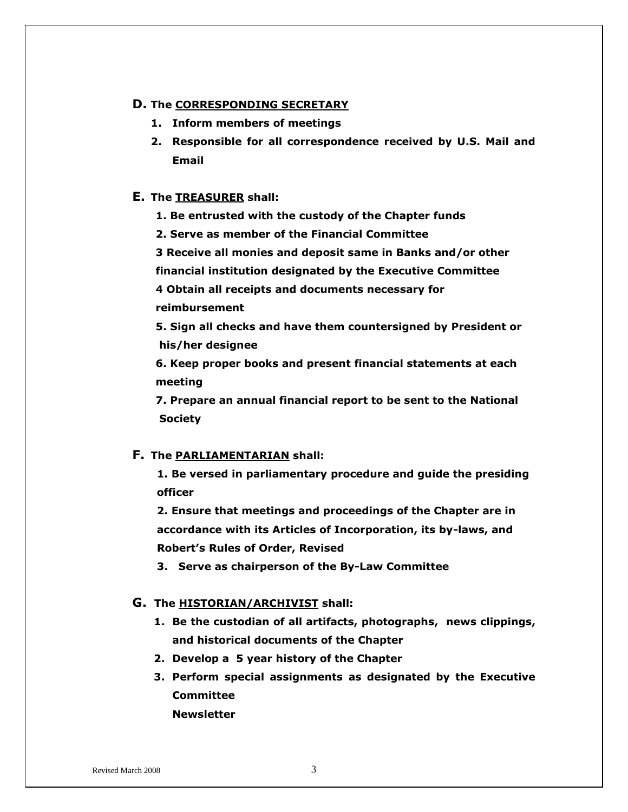#### **D. The CORRESPONDING SECRETARY**

- **1. Inform members of meetings**
- **2. Responsible for all correspondence received by U.S. Mail and Email**

#### **E. The TREASURER shall:**

- **1. Be entrusted with the custody of the Chapter funds**
- **2. Serve as member of the Financial Committee**

**3 Receive all monies and deposit same in Banks and/or other** 

**financial institution designated by the Executive Committee**

**4 Obtain all receipts and documents necessary for** 

**reimbursement**

**5. Sign all checks and have them countersigned by President or his/her designee**

**6. Keep proper books and present financial statements at each meeting**

**7. Prepare an annual financial report to be sent to the National Society**

#### **F. The PARLIAMENTARIAN shall:**

**1. Be versed in parliamentary procedure and guide the presiding officer**

**2. Ensure that meetings and proceedings of the Chapter are in accordance with its Articles of Incorporation, its by-laws, and Robert's Rules of Order, Revised**

**3. Serve as chairperson of the By-Law Committee**

#### **G. The HISTORIAN/ARCHIVIST shall:**

- **1. Be the custodian of all artifacts, photographs, news clippings, and historical documents of the Chapter**
- **2. Develop a 5 year history of the Chapter**
- **3. Perform special assignments as designated by the Executive Committee Newsletter**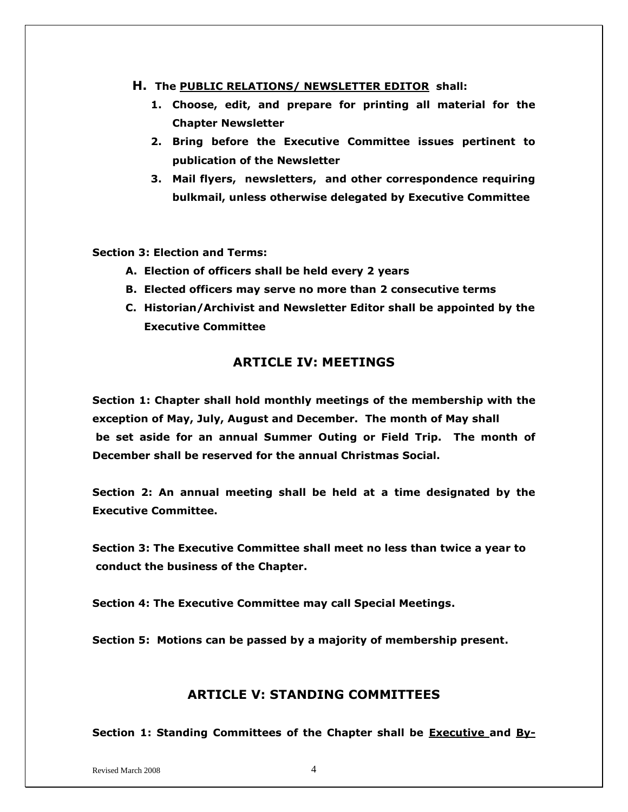- **H. The PUBLIC RELATIONS/ NEWSLETTER EDITOR shall:**
	- **1. Choose, edit, and prepare for printing all material for the Chapter Newsletter**
	- **2. Bring before the Executive Committee issues pertinent to publication of the Newsletter**
	- **3. Mail flyers, newsletters, and other correspondence requiring bulkmail, unless otherwise delegated by Executive Committee**

**Section 3: Election and Terms:**

- **A. Election of officers shall be held every 2 years**
- **B. Elected officers may serve no more than 2 consecutive terms**
- **C. Historian/Archivist and Newsletter Editor shall be appointed by the Executive Committee**

# **ARTICLE IV: MEETINGS**

**Section 1: Chapter shall hold monthly meetings of the membership with the exception of May, July, August and December. The month of May shall be set aside for an annual Summer Outing or Field Trip. The month of December shall be reserved for the annual Christmas Social.**

**Section 2: An annual meeting shall be held at a time designated by the Executive Committee.**

**Section 3: The Executive Committee shall meet no less than twice a year to conduct the business of the Chapter.**

**Section 4: The Executive Committee may call Special Meetings.**

**Section 5: Motions can be passed by a majority of membership present.**

### **ARTICLE V: STANDING COMMITTEES**

**Section 1: Standing Committees of the Chapter shall be Executive and By-**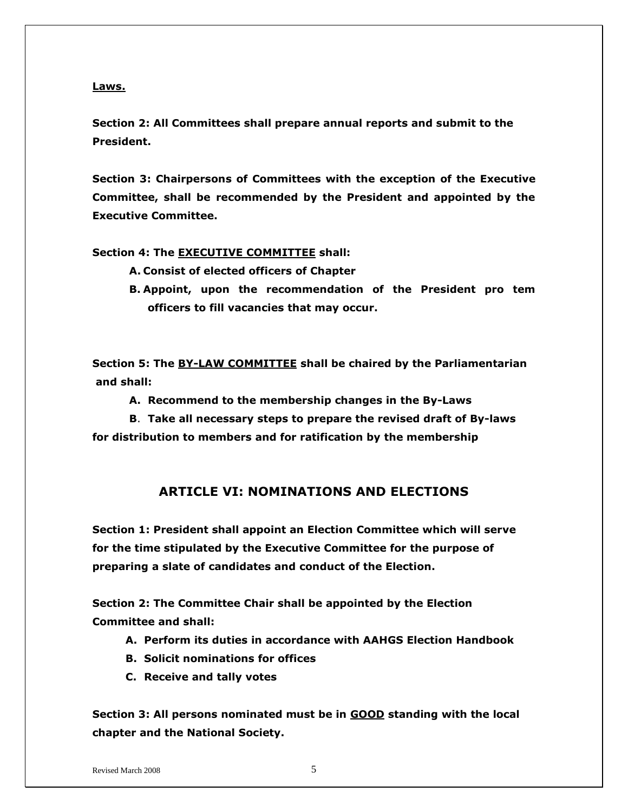**Laws.**

**Section 2: All Committees shall prepare annual reports and submit to the President.**

**Section 3: Chairpersons of Committees with the exception of the Executive Committee, shall be recommended by the President and appointed by the Executive Committee.**

**Section 4: The EXECUTIVE COMMITTEE shall:**

- **A. Consist of elected officers of Chapter**
- **B. Appoint, upon the recommendation of the President pro tem officers to fill vacancies that may occur.**

**Section 5: The BY-LAW COMMITTEE shall be chaired by the Parliamentarian and shall:**

**A. Recommend to the membership changes in the By-Laws**

**B**. **Take all necessary steps to prepare the revised draft of By-laws for distribution to members and for ratification by the membership**

# **ARTICLE VI: NOMINATIONS AND ELECTIONS**

**Section 1: President shall appoint an Election Committee which will serve for the time stipulated by the Executive Committee for the purpose of preparing a slate of candidates and conduct of the Election.**

**Section 2: The Committee Chair shall be appointed by the Election Committee and shall:**

- **A. Perform its duties in accordance with AAHGS Election Handbook**
- **B. Solicit nominations for offices**
- **C. Receive and tally votes**

**Section 3: All persons nominated must be in GOOD standing with the local chapter and the National Society.**